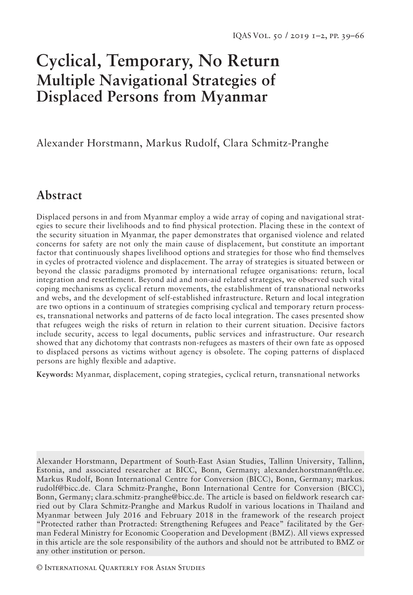# **Cyclical, Temporary, No Return Multiple Navigational Strategies of Displaced Persons from Myanmar**

Alexander Horstmann, Markus Rudolf, Clara Schmitz-Pranghe

# **Abstract**

Displaced persons in and from Myanmar employ a wide array of coping and navigational strategies to secure their livelihoods and to find physical protection. Placing these in the context of the security situation in Myanmar, the paper demonstrates that organised violence and related concerns for safety are not only the main cause of displacement, but constitute an important factor that continuously shapes livelihood options and strategies for those who find themselves in cycles of protracted violence and displacement. The array of strategies is situated between or beyond the classic paradigms promoted by international refugee organisations: return, local integration and resettlement. Beyond aid and non-aid related strategies, we observed such vital coping mechanisms as cyclical return movements, the establishment of transnational networks and webs, and the development of self-established infrastructure. Return and local integration are two options in a continuum of strategies comprising cyclical and temporary return processes, transnational networks and patterns of de facto local integration. The cases presented show that refugees weigh the risks of return in relation to their current situation. Decisive factors include security, access to legal documents, public services and infrastructure. Our research showed that any dichotomy that contrasts non-refugees as masters of their own fate as opposed to displaced persons as victims without agency is obsolete. The coping patterns of displaced persons are highly flexible and adaptive.

**Keywords:** Myanmar, displacement, coping strategies, cyclical return, transnational networks

Alexander Horstmann, Department of South-East Asian Studies, Tallinn University, Tallinn, Estonia, and associated researcher at BICC, Bonn, Germany; alexander.horstmann@tlu.ee. Markus Rudolf, Bonn International Centre for Conversion (BICC), Bonn, Germany; markus. rudolf@bicc.de. Clara Schmitz-Pranghe, Bonn International Centre for Conversion (BICC), Bonn, Germany; clara.schmitz-pranghe@bicc.de. The article is based on fieldwork research carried out by Clara Schmitz-Pranghe and Markus Rudolf in various locations in Thailand and Myanmar between July 2016 and February 2018 in the framework of the research project "Protected rather than Protracted: Strengthening Refugees and Peace" facilitated by the German Federal Ministry for Economic Cooperation and Development (BMZ). All views expressed in this article are the sole responsibility of the authors and should not be attributed to BMZ or any other institution or person.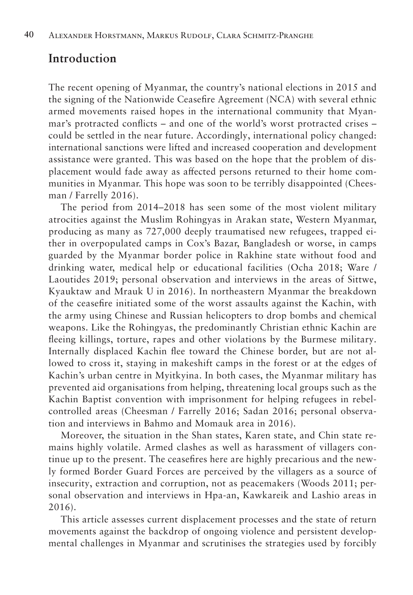# **Introduction**

The recent opening of Myanmar, the country's national elections in 2015 and the signing of the Nationwide Ceasefire Agreement (NCA) with several ethnic armed movements raised hopes in the international community that Myanmar's protracted conflicts – and one of the world's worst protracted crises – could be settled in the near future. Accordingly, international policy changed: international sanctions were lifted and increased cooperation and development assistance were granted. This was based on the hope that the problem of displacement would fade away as affected persons returned to their home communities in Myanmar. This hope was soon to be terribly disappointed (Cheesman / Farrelly 2016).

The period from 2014–2018 has seen some of the most violent military atrocities against the Muslim Rohingyas in Arakan state, Western Myanmar, producing as many as 727,000 deeply traumatised new refugees, trapped either in overpopulated camps in Cox's Bazar, Bangladesh or worse, in camps guarded by the Myanmar border police in Rakhine state without food and drinking water, medical help or educational facilities (Ocha 2018; Ware / Laoutides 2019; personal observation and interviews in the areas of Sittwe, Kyauktaw and Mrauk U in 2016). In northeastern Myanmar the breakdown of the ceasefire initiated some of the worst assaults against the Kachin, with the army using Chinese and Russian helicopters to drop bombs and chemical weapons. Like the Rohingyas, the predominantly Christian ethnic Kachin are fleeing killings, torture, rapes and other violations by the Burmese military. Internally displaced Kachin flee toward the Chinese border, but are not allowed to cross it, staying in makeshift camps in the forest or at the edges of Kachin's urban centre in Myitkyina. In both cases, the Myanmar military has prevented aid organisations from helping, threatening local groups such as the Kachin Baptist convention with imprisonment for helping refugees in rebelcontrolled areas (Cheesman / Farrelly 2016; Sadan 2016; personal observation and interviews in Bahmo and Momauk area in 2016).

Moreover, the situation in the Shan states, Karen state, and Chin state remains highly volatile. Armed clashes as well as harassment of villagers continue up to the present. The ceasefires here are highly precarious and the newly formed Border Guard Forces are perceived by the villagers as a source of insecurity, extraction and corruption, not as peacemakers (Woods 2011; personal observation and interviews in Hpa-an, Kawkareik and Lashio areas in 2016).

This article assesses current displacement processes and the state of return movements against the backdrop of ongoing violence and persistent developmental challenges in Myanmar and scrutinises the strategies used by forcibly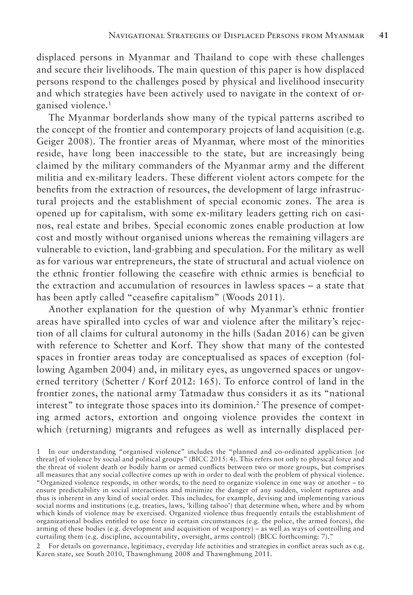displaced persons in Myanmar and Thailand to cope with these challenges and secure their livelihoods. The main question of this paper is how displaced persons respond to the challenges posed by physical and livelihood insecurity and which strategies have been actively used to navigate in the context of organised violence.1

The Myanmar borderlands show many of the typical patterns ascribed to the concept of the frontier and contemporary projects of land acquisition (e.g. Geiger 2008). The frontier areas of Myanmar, where most of the minorities reside, have long been inaccessible to the state, but are increasingly being claimed by the military commanders of the Myanmar army and the different militia and ex-military leaders. These different violent actors compete for the benefits from the extraction of resources, the development of large infrastructural projects and the establishment of special economic zones. The area is opened up for capitalism, with some ex-military leaders getting rich on casinos, real estate and bribes. Special economic zones enable production at low cost and mostly without organised unions whereas the remaining villagers are vulnerable to eviction, land-grabbing and speculation. For the military as well as for various war entrepreneurs, the state of structural and actual violence on the ethnic frontier following the ceasefire with ethnic armies is beneficial to the extraction and accumulation of resources in lawless spaces – a state that has been aptly called "ceasefire capitalism" (Woods 2011).

Another explanation for the question of why Myanmar's ethnic frontier areas have spiralled into cycles of war and violence after the military's rejection of all claims for cultural autonomy in the hills (Sadan 2016) can be given with reference to Schetter and Korf. They show that many of the contested spaces in frontier areas today are conceptualised as spaces of exception (following Agamben 2004) and, in military eyes, as ungoverned spaces or ungoverned territory (Schetter / Korf 2012: 165). To enforce control of land in the frontier zones, the national army Tatmadaw thus considers it as its "national interest" to integrate those spaces into its dominion.2 The presence of competing armed actors, extortion and ongoing violence provides the context in which (returning) migrants and refugees as well as internally displaced per-

2 For details on governance, legitimacy, everyday life activities and strategies in conflict areas such as e.g. Karen state, see South 2010, Thawnghmung 2008 and Thawnghmung 2011.

<sup>1</sup> In our understanding "organised violence" includes the "planned and co-ordinated application [or threat] of violence by social and political groups" (BICC 2015: 4). This refers not only to physical force and the threat of violent death or bodily harm or armed conflicts between two or more groups, but comprises all measures that any social collective comes up with in order to deal with the problem of physical violence. "Organized violence responds, in other words, to the need to organize violence in one way or another – to ensure predictability in social interactions and minimize the danger of any sudden, violent ruptures and thus is inherent in any kind of social order. This includes, for example, devising and implementing various social norms and institutions (e.g. treaties, laws, 'killing taboo') that determine when, where and by whom which kinds of violence may be exercised. Organized violence thus frequently entails the establishment of organizational bodies entitled to use force in certain circumstances (e.g. the police, the armed forces), the arming of these bodies (e.g. development and acquisition of weaponry) – as well as ways of controlling and curtailing them (e.g. discipline, accountability, oversight, arms control) (BICC forthcoming: 7)."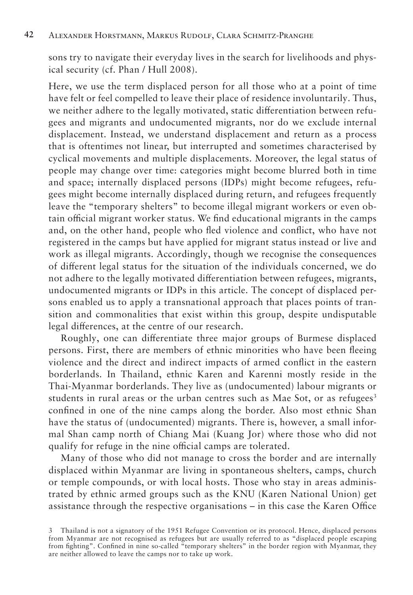sons try to navigate their everyday lives in the search for livelihoods and physical security (cf. Phan / Hull 2008).

Here, we use the term displaced person for all those who at a point of time have felt or feel compelled to leave their place of residence involuntarily. Thus, we neither adhere to the legally motivated, static differentiation between refugees and migrants and undocumented migrants, nor do we exclude internal displacement. Instead, we understand displacement and return as a process that is oftentimes not linear, but interrupted and sometimes characterised by cyclical movements and multiple displacements. Moreover, the legal status of people may change over time: categories might become blurred both in time and space; internally displaced persons (IDPs) might become refugees, refugees might become internally displaced during return, and refugees frequently leave the "temporary shelters" to become illegal migrant workers or even obtain official migrant worker status. We find educational migrants in the camps and, on the other hand, people who fled violence and conflict, who have not registered in the camps but have applied for migrant status instead or live and work as illegal migrants. Accordingly, though we recognise the consequences of different legal status for the situation of the individuals concerned, we do not adhere to the legally motivated differentiation between refugees, migrants, undocumented migrants or IDPs in this article. The concept of displaced persons enabled us to apply a transnational approach that places points of transition and commonalities that exist within this group, despite undisputable legal differences, at the centre of our research.

Roughly, one can differentiate three major groups of Burmese displaced persons. First, there are members of ethnic minorities who have been fleeing violence and the direct and indirect impacts of armed conflict in the eastern borderlands. In Thailand, ethnic Karen and Karenni mostly reside in the Thai-Myanmar borderlands. They live as (undocumented) labour migrants or students in rural areas or the urban centres such as Mae Sot, or as refugees<sup>3</sup> confined in one of the nine camps along the border. Also most ethnic Shan have the status of (undocumented) migrants. There is, however, a small informal Shan camp north of Chiang Mai (Kuang Jor) where those who did not qualify for refuge in the nine official camps are tolerated.

Many of those who did not manage to cross the border and are internally displaced within Myanmar are living in spontaneous shelters, camps, church or temple compounds, or with local hosts. Those who stay in areas administrated by ethnic armed groups such as the KNU (Karen National Union) get assistance through the respective organisations – in this case the Karen Office

<sup>3</sup> Thailand is not a signatory of the 1951 Refugee Convention or its protocol. Hence, displaced persons from Myanmar are not recognised as refugees but are usually referred to as "displaced people escaping from fighting". Confined in nine so-called "temporary shelters" in the border region with Myanmar, they are neither allowed to leave the camps nor to take up work.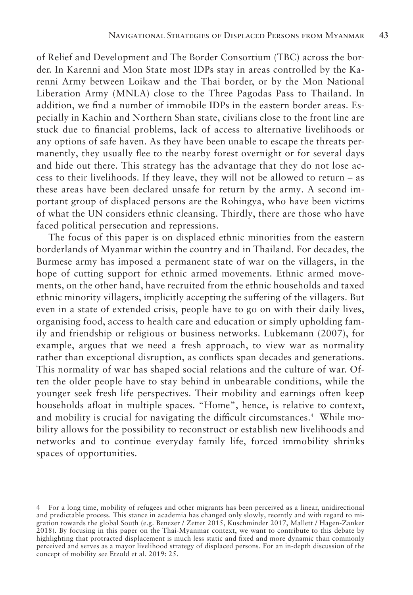of Relief and Development and The Border Consortium (TBC) across the border. In Karenni and Mon State most IDPs stay in areas controlled by the Karenni Army between Loikaw and the Thai border, or by the Mon National Liberation Army (MNLA) close to the Three Pagodas Pass to Thailand. In addition, we find a number of immobile IDPs in the eastern border areas. Especially in Kachin and Northern Shan state, civilians close to the front line are stuck due to financial problems, lack of access to alternative livelihoods or any options of safe haven. As they have been unable to escape the threats permanently, they usually flee to the nearby forest overnight or for several days and hide out there. This strategy has the advantage that they do not lose access to their livelihoods. If they leave, they will not be allowed to return – as these areas have been declared unsafe for return by the army. A second important group of displaced persons are the Rohingya, who have been victims of what the UN considers ethnic cleansing. Thirdly, there are those who have faced political persecution and repressions.

The focus of this paper is on displaced ethnic minorities from the eastern borderlands of Myanmar within the country and in Thailand. For decades, the Burmese army has imposed a permanent state of war on the villagers, in the hope of cutting support for ethnic armed movements. Ethnic armed movements, on the other hand, have recruited from the ethnic households and taxed ethnic minority villagers, implicitly accepting the suffering of the villagers. But even in a state of extended crisis, people have to go on with their daily lives, organising food, access to health care and education or simply upholding family and friendship or religious or business networks. Lubkemann (2007), for example, argues that we need a fresh approach, to view war as normality rather than exceptional disruption, as conflicts span decades and generations. This normality of war has shaped social relations and the culture of war. Often the older people have to stay behind in unbearable conditions, while the younger seek fresh life perspectives. Their mobility and earnings often keep households afloat in multiple spaces. "Home", hence, is relative to context, and mobility is crucial for navigating the difficult circumstances.4 While mobility allows for the possibility to reconstruct or establish new livelihoods and networks and to continue everyday family life, forced immobility shrinks spaces of opportunities.

<sup>4</sup> For a long time, mobility of refugees and other migrants has been perceived as a linear, unidirectional and predictable process. This stance in academia has changed only slowly, recently and with regard to migration towards the global South (e.g. Benezer / Zetter 2015, Kuschminder 2017, Mallett / Hagen-Zanker 2018). By focusing in this paper on the Thai-Myanmar context, we want to contribute to this debate by highlighting that protracted displacement is much less static and fixed and more dynamic than commonly perceived and serves as a mayor livelihood strategy of displaced persons. For an in-depth discussion of the concept of mobility see Etzold et al. 2019: 25.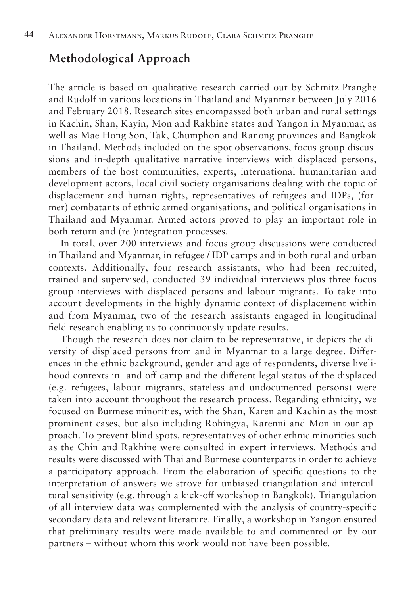# **Methodological Approach**

The article is based on qualitative research carried out by Schmitz-Pranghe and Rudolf in various locations in Thailand and Myanmar between July 2016 and February 2018. Research sites encompassed both urban and rural settings in Kachin, Shan, Kayin, Mon and Rakhine states and Yangon in Myanmar, as well as Mae Hong Son, Tak, Chumphon and Ranong provinces and Bangkok in Thailand. Methods included on-the-spot observations, focus group discussions and in-depth qualitative narrative interviews with displaced persons, members of the host communities, experts, international humanitarian and development actors, local civil society organisations dealing with the topic of displacement and human rights, representatives of refugees and IDPs, (former) combatants of ethnic armed organisations, and political organisations in Thailand and Myanmar. Armed actors proved to play an important role in both return and (re-)integration processes.

In total, over 200 interviews and focus group discussions were conducted in Thailand and Myanmar, in refugee / IDP camps and in both rural and urban contexts. Additionally, four research assistants, who had been recruited, trained and supervised, conducted 39 individual interviews plus three focus group interviews with displaced persons and labour migrants. To take into account developments in the highly dynamic context of displacement within and from Myanmar, two of the research assistants engaged in longitudinal field research enabling us to continuously update results.

Though the research does not claim to be representative, it depicts the diversity of displaced persons from and in Myanmar to a large degree. Differences in the ethnic background, gender and age of respondents, diverse livelihood contexts in- and off-camp and the different legal status of the displaced (e.g. refugees, labour migrants, stateless and undocumented persons) were taken into account throughout the research process. Regarding ethnicity, we focused on Burmese minorities, with the Shan, Karen and Kachin as the most prominent cases, but also including Rohingya, Karenni and Mon in our approach. To prevent blind spots, representatives of other ethnic minorities such as the Chin and Rakhine were consulted in expert interviews. Methods and results were discussed with Thai and Burmese counterparts in order to achieve a participatory approach. From the elaboration of specific questions to the interpretation of answers we strove for unbiased triangulation and intercultural sensitivity (e.g. through a kick-off workshop in Bangkok). Triangulation of all interview data was complemented with the analysis of country-specific secondary data and relevant literature. Finally, a workshop in Yangon ensured that preliminary results were made available to and commented on by our partners – without whom this work would not have been possible.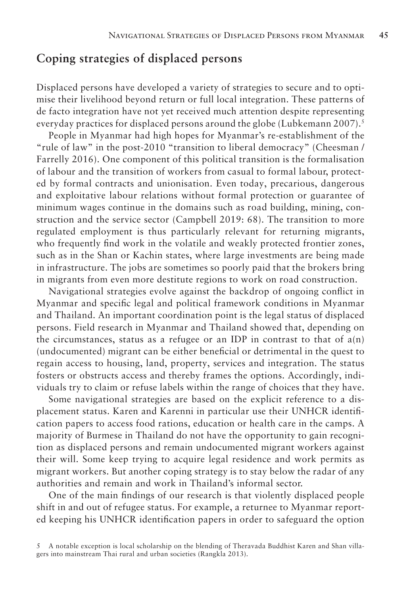### **Coping strategies of displaced persons**

Displaced persons have developed a variety of strategies to secure and to optimise their livelihood beyond return or full local integration. These patterns of de facto integration have not yet received much attention despite representing everyday practices for displaced persons around the globe (Lubkemann 2007).<sup>5</sup>

People in Myanmar had high hopes for Myanmar's re-establishment of the "rule of law" in the post-2010 "transition to liberal democracy" (Cheesman / Farrelly 2016). One component of this political transition is the formalisation of labour and the transition of workers from casual to formal labour, protected by formal contracts and unionisation. Even today, precarious, dangerous and exploitative labour relations without formal protection or guarantee of minimum wages continue in the domains such as road building, mining, construction and the service sector (Campbell 2019: 68). The transition to more regulated employment is thus particularly relevant for returning migrants, who frequently find work in the volatile and weakly protected frontier zones, such as in the Shan or Kachin states, where large investments are being made in infrastructure. The jobs are sometimes so poorly paid that the brokers bring in migrants from even more destitute regions to work on road construction.

Navigational strategies evolve against the backdrop of ongoing conflict in Myanmar and specific legal and political framework conditions in Myanmar and Thailand. An important coordination point is the legal status of displaced persons. Field research in Myanmar and Thailand showed that, depending on the circumstances, status as a refugee or an IDP in contrast to that of  $a(n)$ (undocumented) migrant can be either beneficial or detrimental in the quest to regain access to housing, land, property, services and integration. The status fosters or obstructs access and thereby frames the options. Accordingly, individuals try to claim or refuse labels within the range of choices that they have.

Some navigational strategies are based on the explicit reference to a displacement status. Karen and Karenni in particular use their UNHCR identification papers to access food rations, education or health care in the camps. A majority of Burmese in Thailand do not have the opportunity to gain recognition as displaced persons and remain undocumented migrant workers against their will. Some keep trying to acquire legal residence and work permits as migrant workers. But another coping strategy is to stay below the radar of any authorities and remain and work in Thailand's informal sector.

One of the main findings of our research is that violently displaced people shift in and out of refugee status. For example, a returnee to Myanmar reported keeping his UNHCR identification papers in order to safeguard the option

<sup>5</sup> A notable exception is local scholarship on the blending of Theravada Buddhist Karen and Shan villagers into mainstream Thai rural and urban societies (Rangkla 2013).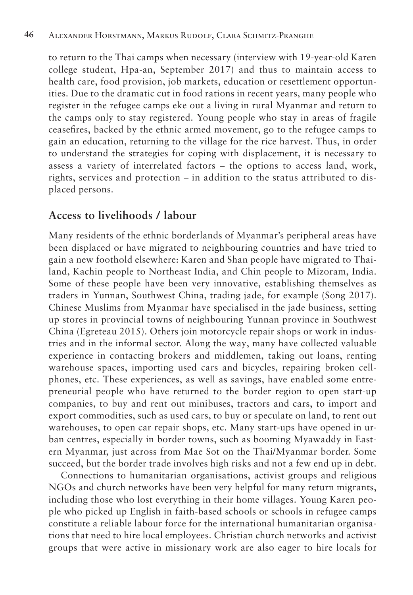to return to the Thai camps when necessary (interview with 19-year-old Karen college student, Hpa-an, September 2017) and thus to maintain access to health care, food provision, job markets, education or resettlement opportunities. Due to the dramatic cut in food rations in recent years, many people who register in the refugee camps eke out a living in rural Myanmar and return to the camps only to stay registered. Young people who stay in areas of fragile ceasefires, backed by the ethnic armed movement, go to the refugee camps to gain an education, returning to the village for the rice harvest. Thus, in order to understand the strategies for coping with displacement, it is necessary to assess a variety of interrelated factors – the options to access land, work, rights, services and protection – in addition to the status attributed to displaced persons.

# **Access to livelihoods / labour**

Many residents of the ethnic borderlands of Myanmar's peripheral areas have been displaced or have migrated to neighbouring countries and have tried to gain a new foothold elsewhere: Karen and Shan people have migrated to Thailand, Kachin people to Northeast India, and Chin people to Mizoram, India. Some of these people have been very innovative, establishing themselves as traders in Yunnan, Southwest China, trading jade, for example (Song 2017). Chinese Muslims from Myanmar have specialised in the jade business, setting up stores in provincial towns of neighbouring Yunnan province in Southwest China (Egreteau 2015). Others join motorcycle repair shops or work in industries and in the informal sector. Along the way, many have collected valuable experience in contacting brokers and middlemen, taking out loans, renting warehouse spaces, importing used cars and bicycles, repairing broken cellphones, etc. These experiences, as well as savings, have enabled some entrepreneurial people who have returned to the border region to open start-up companies, to buy and rent out minibuses, tractors and cars, to import and export commodities, such as used cars, to buy or speculate on land, to rent out warehouses, to open car repair shops, etc. Many start-ups have opened in urban centres, especially in border towns, such as booming Myawaddy in Eastern Myanmar, just across from Mae Sot on the Thai/Myanmar border. Some succeed, but the border trade involves high risks and not a few end up in debt.

Connections to humanitarian organisations, activist groups and religious NGOs and church networks have been very helpful for many return migrants, including those who lost everything in their home villages. Young Karen people who picked up English in faith-based schools or schools in refugee camps constitute a reliable labour force for the international humanitarian organisations that need to hire local employees. Christian church networks and activist groups that were active in missionary work are also eager to hire locals for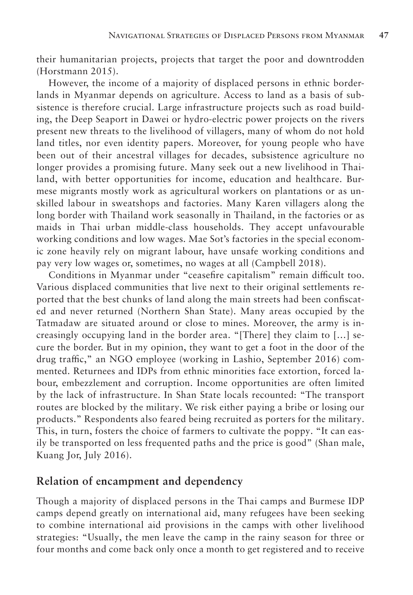their humanitarian projects, projects that target the poor and downtrodden (Horstmann 2015).

However, the income of a majority of displaced persons in ethnic borderlands in Myanmar depends on agriculture. Access to land as a basis of subsistence is therefore crucial. Large infrastructure projects such as road building, the Deep Seaport in Dawei or hydro-electric power projects on the rivers present new threats to the livelihood of villagers, many of whom do not hold land titles, nor even identity papers. Moreover, for young people who have been out of their ancestral villages for decades, subsistence agriculture no longer provides a promising future. Many seek out a new livelihood in Thailand, with better opportunities for income, education and healthcare. Burmese migrants mostly work as agricultural workers on plantations or as unskilled labour in sweatshops and factories. Many Karen villagers along the long border with Thailand work seasonally in Thailand, in the factories or as maids in Thai urban middle-class households. They accept unfavourable working conditions and low wages. Mae Sot's factories in the special economic zone heavily rely on migrant labour, have unsafe working conditions and pay very low wages or, sometimes, no wages at all (Campbell 2018).

Conditions in Myanmar under "ceasefire capitalism" remain difficult too. Various displaced communities that live next to their original settlements reported that the best chunks of land along the main streets had been confiscated and never returned (Northern Shan State). Many areas occupied by the Tatmadaw are situated around or close to mines. Moreover, the army is increasingly occupying land in the border area. "[There] they claim to […] secure the border. But in my opinion, they want to get a foot in the door of the drug traffic," an NGO employee (working in Lashio, September 2016) commented. Returnees and IDPs from ethnic minorities face extortion, forced labour, embezzlement and corruption. Income opportunities are often limited by the lack of infrastructure. In Shan State locals recounted: "The transport routes are blocked by the military. We risk either paying a bribe or losing our products." Respondents also feared being recruited as porters for the military. This, in turn, fosters the choice of farmers to cultivate the poppy. "It can easily be transported on less frequented paths and the price is good" (Shan male, Kuang Jor, July 2016).

### **Relation of encampment and dependency**

Though a majority of displaced persons in the Thai camps and Burmese IDP camps depend greatly on international aid, many refugees have been seeking to combine international aid provisions in the camps with other livelihood strategies: "Usually, the men leave the camp in the rainy season for three or four months and come back only once a month to get registered and to receive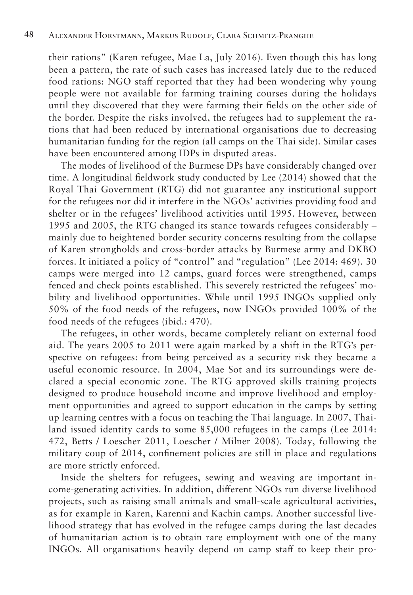their rations" (Karen refugee, Mae La, July 2016). Even though this has long been a pattern, the rate of such cases has increased lately due to the reduced food rations: NGO staff reported that they had been wondering why young people were not available for farming training courses during the holidays until they discovered that they were farming their fields on the other side of the border. Despite the risks involved, the refugees had to supplement the rations that had been reduced by international organisations due to decreasing humanitarian funding for the region (all camps on the Thai side). Similar cases have been encountered among IDPs in disputed areas.

The modes of livelihood of the Burmese DPs have considerably changed over time. A longitudinal fieldwork study conducted by Lee (2014) showed that the Royal Thai Government (RTG) did not guarantee any institutional support for the refugees nor did it interfere in the NGOs' activities providing food and shelter or in the refugees' livelihood activities until 1995. However, between 1995 and 2005, the RTG changed its stance towards refugees considerably mainly due to heightened border security concerns resulting from the collapse of Karen strongholds and cross-border attacks by Burmese army and DKBO forces. It initiated a policy of "control" and "regulation" (Lee 2014: 469). 30 camps were merged into 12 camps, guard forces were strengthened, camps fenced and check points established. This severely restricted the refugees' mobility and livelihood opportunities. While until 1995 INGOs supplied only 50% of the food needs of the refugees, now INGOs provided 100% of the food needs of the refugees (ibid.: 470).

The refugees, in other words, became completely reliant on external food aid. The years 2005 to 2011 were again marked by a shift in the RTG's perspective on refugees: from being perceived as a security risk they became a useful economic resource. In 2004, Mae Sot and its surroundings were declared a special economic zone. The RTG approved skills training projects designed to produce household income and improve livelihood and employment opportunities and agreed to support education in the camps by setting up learning centres with a focus on teaching the Thai language. In 2007, Thailand issued identity cards to some 85,000 refugees in the camps (Lee 2014: 472, Betts / Loescher 2011, Loescher / Milner 2008). Today, following the military coup of 2014, confinement policies are still in place and regulations are more strictly enforced.

Inside the shelters for refugees, sewing and weaving are important income-generating activities. In addition, different NGOs run diverse livelihood projects, such as raising small animals and small-scale agricultural activities, as for example in Karen, Karenni and Kachin camps. Another successful livelihood strategy that has evolved in the refugee camps during the last decades of humanitarian action is to obtain rare employment with one of the many INGOs. All organisations heavily depend on camp staff to keep their pro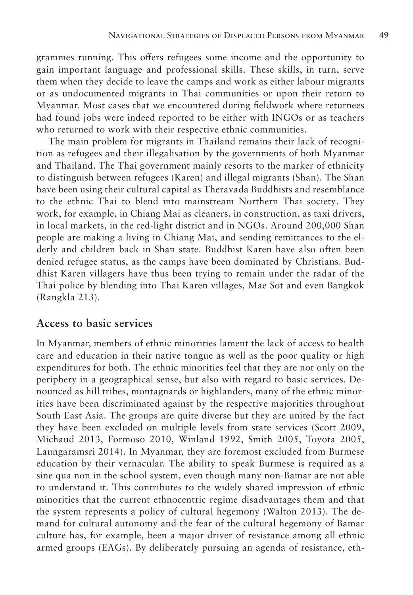grammes running. This offers refugees some income and the opportunity to gain important language and professional skills. These skills, in turn, serve them when they decide to leave the camps and work as either labour migrants or as undocumented migrants in Thai communities or upon their return to Myanmar. Most cases that we encountered during fieldwork where returnees had found jobs were indeed reported to be either with INGOs or as teachers who returned to work with their respective ethnic communities.

The main problem for migrants in Thailand remains their lack of recognition as refugees and their illegalisation by the governments of both Myanmar and Thailand. The Thai government mainly resorts to the marker of ethnicity to distinguish between refugees (Karen) and illegal migrants (Shan). The Shan have been using their cultural capital as Theravada Buddhists and resemblance to the ethnic Thai to blend into mainstream Northern Thai society. They work, for example, in Chiang Mai as cleaners, in construction, as taxi drivers, in local markets, in the red-light district and in NGOs. Around 200,000 Shan people are making a living in Chiang Mai, and sending remittances to the elderly and children back in Shan state. Buddhist Karen have also often been denied refugee status, as the camps have been dominated by Christians. Buddhist Karen villagers have thus been trying to remain under the radar of the Thai police by blending into Thai Karen villages, Mae Sot and even Bangkok (Rangkla 213).

### **Access to basic services**

In Myanmar, members of ethnic minorities lament the lack of access to health care and education in their native tongue as well as the poor quality or high expenditures for both. The ethnic minorities feel that they are not only on the periphery in a geographical sense, but also with regard to basic services. Denounced as hill tribes, montagnards or highlanders, many of the ethnic minorities have been discriminated against by the respective majorities throughout South East Asia. The groups are quite diverse but they are united by the fact they have been excluded on multiple levels from state services (Scott 2009, Michaud 2013, Formoso 2010, Winland 1992, Smith 2005, Toyota 2005, Laungaramsri 2014). In Myanmar, they are foremost excluded from Burmese education by their vernacular. The ability to speak Burmese is required as a sine qua non in the school system, even though many non-Bamar are not able to understand it. This contributes to the widely shared impression of ethnic minorities that the current ethnocentric regime disadvantages them and that the system represents a policy of cultural hegemony (Walton 2013). The demand for cultural autonomy and the fear of the cultural hegemony of Bamar culture has, for example, been a major driver of resistance among all ethnic armed groups (EAGs). By deliberately pursuing an agenda of resistance, eth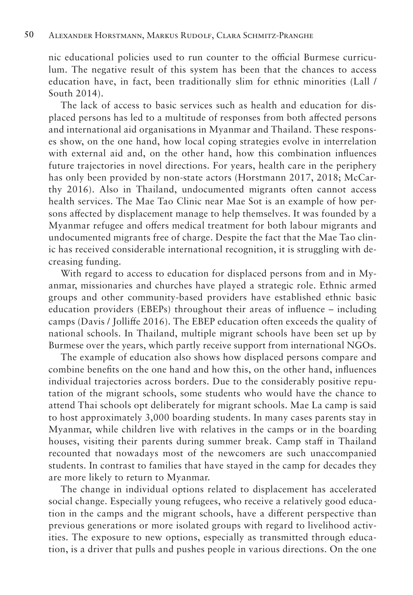nic educational policies used to run counter to the official Burmese curriculum. The negative result of this system has been that the chances to access education have, in fact, been traditionally slim for ethnic minorities (Lall / South 2014).

The lack of access to basic services such as health and education for displaced persons has led to a multitude of responses from both affected persons and international aid organisations in Myanmar and Thailand. These responses show, on the one hand, how local coping strategies evolve in interrelation with external aid and, on the other hand, how this combination influences future trajectories in novel directions. For years, health care in the periphery has only been provided by non-state actors (Horstmann 2017, 2018; McCarthy 2016). Also in Thailand, undocumented migrants often cannot access health services. The Mae Tao Clinic near Mae Sot is an example of how persons affected by displacement manage to help themselves. It was founded by a Myanmar refugee and offers medical treatment for both labour migrants and undocumented migrants free of charge. Despite the fact that the Mae Tao clinic has received considerable international recognition, it is struggling with decreasing funding.

With regard to access to education for displaced persons from and in Myanmar, missionaries and churches have played a strategic role. Ethnic armed groups and other community-based providers have established ethnic basic education providers (EBEPs) throughout their areas of influence – including camps (Davis / Jolliffe 2016). The EBEP education often exceeds the quality of national schools. In Thailand, multiple migrant schools have been set up by Burmese over the years, which partly receive support from international NGOs.

The example of education also shows how displaced persons compare and combine benefits on the one hand and how this, on the other hand, influences individual trajectories across borders. Due to the considerably positive reputation of the migrant schools, some students who would have the chance to attend Thai schools opt deliberately for migrant schools. Mae La camp is said to host approximately 3,000 boarding students. In many cases parents stay in Myanmar, while children live with relatives in the camps or in the boarding houses, visiting their parents during summer break. Camp staff in Thailand recounted that nowadays most of the newcomers are such unaccompanied students. In contrast to families that have stayed in the camp for decades they are more likely to return to Myanmar.

The change in individual options related to displacement has accelerated social change. Especially young refugees, who receive a relatively good education in the camps and the migrant schools, have a different perspective than previous generations or more isolated groups with regard to livelihood activities. The exposure to new options, especially as transmitted through education, is a driver that pulls and pushes people in various directions. On the one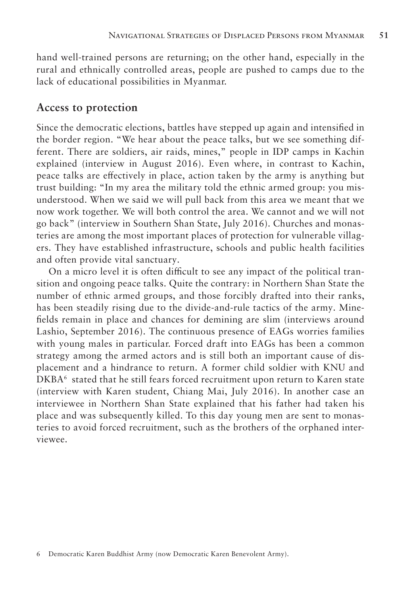hand well-trained persons are returning; on the other hand, especially in the rural and ethnically controlled areas, people are pushed to camps due to the lack of educational possibilities in Myanmar.

### **Access to protection**

Since the democratic elections, battles have stepped up again and intensified in the border region. "We hear about the peace talks, but we see something different. There are soldiers, air raids, mines," people in IDP camps in Kachin explained (interview in August 2016). Even where, in contrast to Kachin, peace talks are effectively in place, action taken by the army is anything but trust building: "In my area the military told the ethnic armed group: you misunderstood. When we said we will pull back from this area we meant that we now work together. We will both control the area. We cannot and we will not go back" (interview in Southern Shan State, July 2016). Churches and monasteries are among the most important places of protection for vulnerable villagers. They have established infrastructure, schools and public health facilities and often provide vital sanctuary.

On a micro level it is often difficult to see any impact of the political transition and ongoing peace talks. Quite the contrary: in Northern Shan State the number of ethnic armed groups, and those forcibly drafted into their ranks, has been steadily rising due to the divide-and-rule tactics of the army. Minefields remain in place and chances for demining are slim (interviews around Lashio, September 2016). The continuous presence of EAGs worries families with young males in particular. Forced draft into EAGs has been a common strategy among the armed actors and is still both an important cause of displacement and a hindrance to return. A former child soldier with KNU and DKBA<sup>6</sup> stated that he still fears forced recruitment upon return to Karen state (interview with Karen student, Chiang Mai, July 2016). In another case an interviewee in Northern Shan State explained that his father had taken his place and was subsequently killed. To this day young men are sent to monasteries to avoid forced recruitment, such as the brothers of the orphaned interviewee.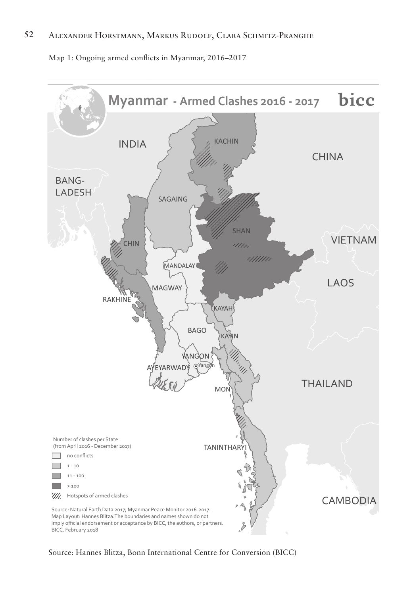#### **52** Alexander Horstmann, Markus Rudolf, Clara Schmitz-Pranghe

Map 1: Ongoing armed conflicts in Myanmar, 2016–2017



Source: Hannes Blitza, Bonn International Centre for Conversion (BICC)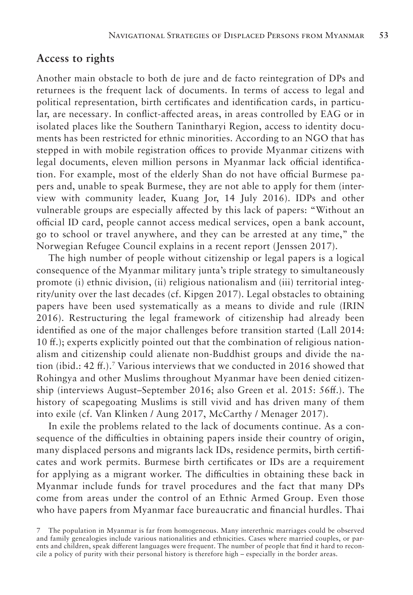### **Access to rights**

Another main obstacle to both de jure and de facto reintegration of DPs and returnees is the frequent lack of documents. In terms of access to legal and political representation, birth certificates and identification cards, in particular, are necessary. In conflict-affected areas, in areas controlled by EAG or in isolated places like the Southern Tanintharyi Region, access to identity documents has been restricted for ethnic minorities. According to an NGO that has stepped in with mobile registration offices to provide Myanmar citizens with legal documents, eleven million persons in Myanmar lack official identification. For example, most of the elderly Shan do not have official Burmese papers and, unable to speak Burmese, they are not able to apply for them (interview with community leader, Kuang Jor, 14 July 2016). IDPs and other vulnerable groups are especially affected by this lack of papers: "Without an official ID card, people cannot access medical services, open a bank account, go to school or travel anywhere, and they can be arrested at any time," the Norwegian Refugee Council explains in a recent report (Jenssen 2017).

The high number of people without citizenship or legal papers is a logical consequence of the Myanmar military junta's triple strategy to simultaneously promote (i) ethnic division, (ii) religious nationalism and (iii) territorial integrity/unity over the last decades (cf. Kipgen 2017). Legal obstacles to obtaining papers have been used systematically as a means to divide and rule (IRIN 2016). Restructuring the legal framework of citizenship had already been identified as one of the major challenges before transition started (Lall 2014: 10 ff.); experts explicitly pointed out that the combination of religious nationalism and citizenship could alienate non-Buddhist groups and divide the nation (ibid.: 42 ff.).<sup>7</sup> Various interviews that we conducted in 2016 showed that Rohingya and other Muslims throughout Myanmar have been denied citizenship (interviews August–September 2016; also Green et al. 2015: 56ff.). The history of scapegoating Muslims is still vivid and has driven many of them into exile (cf. Van Klinken / Aung 2017, McCarthy / Menager 2017).

In exile the problems related to the lack of documents continue. As a consequence of the difficulties in obtaining papers inside their country of origin, many displaced persons and migrants lack IDs, residence permits, birth certificates and work permits. Burmese birth certificates or IDs are a requirement for applying as a migrant worker. The difficulties in obtaining these back in Myanmar include funds for travel procedures and the fact that many DPs come from areas under the control of an Ethnic Armed Group. Even those who have papers from Myanmar face bureaucratic and financial hurdles. Thai

<sup>7</sup> The population in Myanmar is far from homogeneous. Many interethnic marriages could be observed and family genealogies include various nationalities and ethnicities. Cases where married couples, or parents and children, speak different languages were frequent. The number of people that find it hard to reconcile a policy of purity with their personal history is therefore high – especially in the border areas.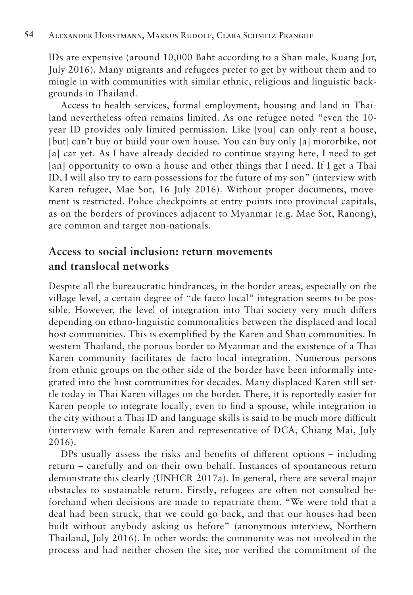IDs are expensive (around 10,000 Baht according to a Shan male, Kuang Jor, July 2016). Many migrants and refugees prefer to get by without them and to mingle in with communities with similar ethnic, religious and linguistic backgrounds in Thailand.

Access to health services, formal employment, housing and land in Thailand nevertheless often remains limited. As one refugee noted "even the 10 year ID provides only limited permission. Like [you] can only rent a house, [but] can't buy or build your own house. You can buy only [a] motorbike, not [a] car yet. As I have already decided to continue staying here, I need to get [an] opportunity to own a house and other things that I need. If I get a Thai ID, I will also try to earn possessions for the future of my son" (interview with Karen refugee, Mae Sot, 16 July 2016). Without proper documents, movement is restricted. Police checkpoints at entry points into provincial capitals, as on the borders of provinces adjacent to Myanmar (e.g. Mae Sot, Ranong), are common and target non-nationals.

# **Access to social inclusion: return movements and translocal networks**

Despite all the bureaucratic hindrances, in the border areas, especially on the village level, a certain degree of "de facto local" integration seems to be possible. However, the level of integration into Thai society very much differs depending on ethno-linguistic commonalities between the displaced and local host communities. This is exemplified by the Karen and Shan communities. In western Thailand, the porous border to Myanmar and the existence of a Thai Karen community facilitates de facto local integration. Numerous persons from ethnic groups on the other side of the border have been informally integrated into the host communities for decades. Many displaced Karen still settle today in Thai Karen villages on the border. There, it is reportedly easier for Karen people to integrate locally, even to find a spouse, while integration in the city without a Thai ID and language skills is said to be much more difficult (interview with female Karen and representative of DCA, Chiang Mai, July 2016).

DPs usually assess the risks and benefits of different options – including return – carefully and on their own behalf. Instances of spontaneous return demonstrate this clearly (UNHCR 2017a). In general, there are several major obstacles to sustainable return. Firstly, refugees are often not consulted beforehand when decisions are made to repatriate them. "We were told that a deal had been struck, that we could go back, and that our houses had been built without anybody asking us before" (anonymous interview, Northern Thailand, July 2016). In other words: the community was not involved in the process and had neither chosen the site, nor verified the commitment of the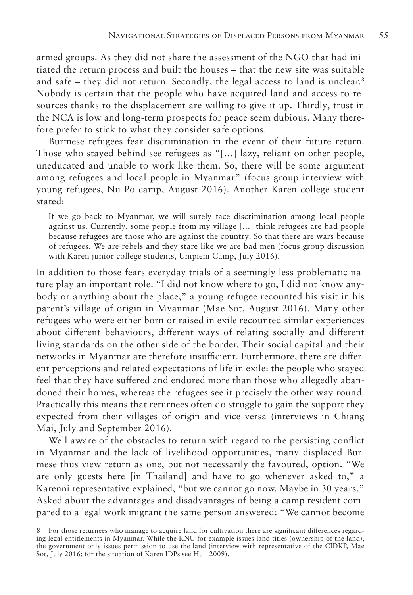armed groups. As they did not share the assessment of the NGO that had initiated the return process and built the houses – that the new site was suitable and safe – they did not return. Secondly, the legal access to land is unclear.<sup>8</sup> Nobody is certain that the people who have acquired land and access to resources thanks to the displacement are willing to give it up. Thirdly, trust in the NCA is low and long-term prospects for peace seem dubious. Many therefore prefer to stick to what they consider safe options.

Burmese refugees fear discrimination in the event of their future return. Those who stayed behind see refugees as "[…] lazy, reliant on other people, uneducated and unable to work like them. So, there will be some argument among refugees and local people in Myanmar" (focus group interview with young refugees, Nu Po camp, August 2016). Another Karen college student stated:

If we go back to Myanmar, we will surely face discrimination among local people against us. Currently, some people from my village […] think refugees are bad people because refugees are those who are against the country. So that there are wars because of refugees. We are rebels and they stare like we are bad men (focus group discussion with Karen junior college students, Umpiem Camp, July 2016).

In addition to those fears everyday trials of a seemingly less problematic nature play an important role. "I did not know where to go, I did not know anybody or anything about the place," a young refugee recounted his visit in his parent's village of origin in Myanmar (Mae Sot, August 2016). Many other refugees who were either born or raised in exile recounted similar experiences about different behaviours, different ways of relating socially and different living standards on the other side of the border. Their social capital and their networks in Myanmar are therefore insufficient. Furthermore, there are different perceptions and related expectations of life in exile: the people who stayed feel that they have suffered and endured more than those who allegedly abandoned their homes, whereas the refugees see it precisely the other way round. Practically this means that returnees often do struggle to gain the support they expected from their villages of origin and vice versa (interviews in Chiang Mai, July and September 2016).

Well aware of the obstacles to return with regard to the persisting conflict in Myanmar and the lack of livelihood opportunities, many displaced Burmese thus view return as one, but not necessarily the favoured, option. "We are only guests here [in Thailand] and have to go whenever asked to," a Karenni representative explained, "but we cannot go now. Maybe in 30 years." Asked about the advantages and disadvantages of being a camp resident compared to a legal work migrant the same person answered: "We cannot become

<sup>8</sup> For those returnees who manage to acquire land for cultivation there are significant differences regarding legal entitlements in Myanmar. While the KNU for example issues land titles (ownership of the land), the government only issues permission to use the land (interview with representative of the CIDKP, Mae Sot, July 2016; for the situation of Karen IDPs see Hull 2009).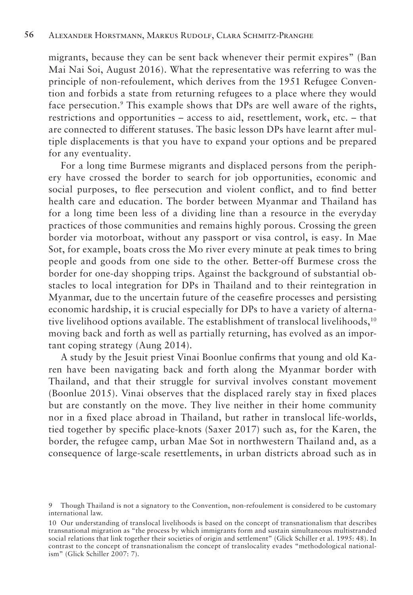migrants, because they can be sent back whenever their permit expires" (Ban Mai Nai Soi, August 2016). What the representative was referring to was the principle of non-refoulement, which derives from the 1951 Refugee Convention and forbids a state from returning refugees to a place where they would face persecution.<sup>9</sup> This example shows that DPs are well aware of the rights, restrictions and opportunities – access to aid, resettlement, work, etc. – that are connected to different statuses. The basic lesson DPs have learnt after multiple displacements is that you have to expand your options and be prepared for any eventuality.

For a long time Burmese migrants and displaced persons from the periphery have crossed the border to search for job opportunities, economic and social purposes, to flee persecution and violent conflict, and to find better health care and education. The border between Myanmar and Thailand has for a long time been less of a dividing line than a resource in the everyday practices of those communities and remains highly porous. Crossing the green border via motorboat, without any passport or visa control, is easy. In Mae Sot, for example, boats cross the Mo river every minute at peak times to bring people and goods from one side to the other. Better-off Burmese cross the border for one-day shopping trips. Against the background of substantial obstacles to local integration for DPs in Thailand and to their reintegration in Myanmar, due to the uncertain future of the ceasefire processes and persisting economic hardship, it is crucial especially for DPs to have a variety of alternative livelihood options available. The establishment of translocal livelihoods,<sup>10</sup> moving back and forth as well as partially returning, has evolved as an important coping strategy (Aung 2014).

A study by the Jesuit priest Vinai Boonlue confirms that young and old Karen have been navigating back and forth along the Myanmar border with Thailand, and that their struggle for survival involves constant movement (Boonlue 2015). Vinai observes that the displaced rarely stay in fixed places but are constantly on the move. They live neither in their home community nor in a fixed place abroad in Thailand, but rather in translocal life-worlds, tied together by specific place-knots (Saxer 2017) such as, for the Karen, the border, the refugee camp, urban Mae Sot in northwestern Thailand and, as a consequence of large-scale resettlements, in urban districts abroad such as in

<sup>9</sup> Though Thailand is not a signatory to the Convention, non-refoulement is considered to be customary international law.

<sup>10</sup> Our understanding of translocal livelihoods is based on the concept of transnationalism that describes transnational migration as "the process by which immigrants form and sustain simultaneous multistranded social relations that link together their societies of origin and settlement" (Glick Schiller et al. 1995: 48). In contrast to the concept of transnationalism the concept of translocality evades "methodological nationalism" (Glick Schiller 2007: 7).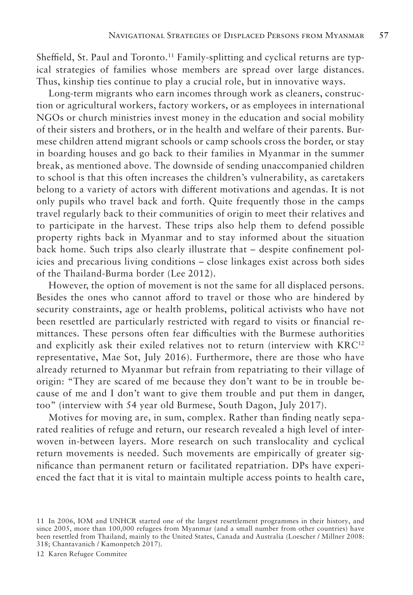Sheffield, St. Paul and Toronto.<sup>11</sup> Family-splitting and cyclical returns are typical strategies of families whose members are spread over large distances. Thus, kinship ties continue to play a crucial role, but in innovative ways.

Long-term migrants who earn incomes through work as cleaners, construction or agricultural workers, factory workers, or as employees in international NGOs or church ministries invest money in the education and social mobility of their sisters and brothers, or in the health and welfare of their parents. Burmese children attend migrant schools or camp schools cross the border, or stay in boarding houses and go back to their families in Myanmar in the summer break, as mentioned above. The downside of sending unaccompanied children to school is that this often increases the children's vulnerability, as caretakers belong to a variety of actors with different motivations and agendas. It is not only pupils who travel back and forth. Quite frequently those in the camps travel regularly back to their communities of origin to meet their relatives and to participate in the harvest. These trips also help them to defend possible property rights back in Myanmar and to stay informed about the situation back home. Such trips also clearly illustrate that – despite confinement policies and precarious living conditions – close linkages exist across both sides of the Thailand-Burma border (Lee 2012).

However, the option of movement is not the same for all displaced persons. Besides the ones who cannot afford to travel or those who are hindered by security constraints, age or health problems, political activists who have not been resettled are particularly restricted with regard to visits or financial remittances. These persons often fear difficulties with the Burmese authorities and explicitly ask their exiled relatives not to return (interview with KRC<sup>12</sup>) representative, Mae Sot, July 2016). Furthermore, there are those who have already returned to Myanmar but refrain from repatriating to their village of origin: "They are scared of me because they don't want to be in trouble because of me and I don't want to give them trouble and put them in danger, too" (interview with 54 year old Burmese, South Dagon, July 2017).

Motives for moving are, in sum, complex. Rather than finding neatly separated realities of refuge and return, our research revealed a high level of interwoven in-between layers. More research on such translocality and cyclical return movements is needed. Such movements are empirically of greater significance than permanent return or facilitated repatriation. DPs have experienced the fact that it is vital to maintain multiple access points to health care,

12 Karen Refugee Commitee

<sup>11</sup> In 2006, IOM and UNHCR started one of the largest resettlement programmes in their history, and since 2005, more than 100,000 refugees from Myanmar (and a small number from other countries) have been resettled from Thailand, mainly to the United States, Canada and Australia (Loescher / Millner 2008: 318; Chantavanich / Kamonpetch 2017).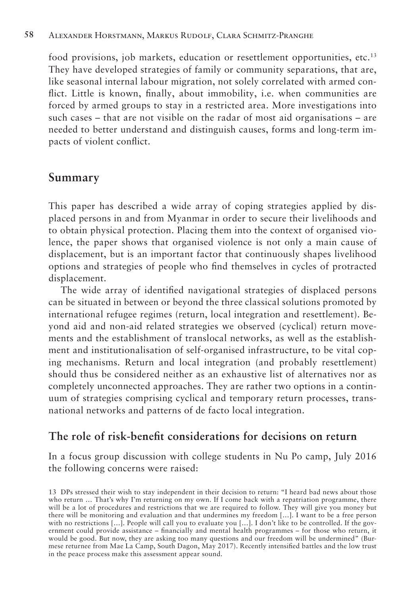food provisions, job markets, education or resettlement opportunities, etc.13 They have developed strategies of family or community separations, that are, like seasonal internal labour migration, not solely correlated with armed conflict. Little is known, finally, about immobility, i.e. when communities are forced by armed groups to stay in a restricted area. More investigations into such cases – that are not visible on the radar of most aid organisations – are needed to better understand and distinguish causes, forms and long-term impacts of violent conflict.

## **Summary**

This paper has described a wide array of coping strategies applied by displaced persons in and from Myanmar in order to secure their livelihoods and to obtain physical protection. Placing them into the context of organised violence, the paper shows that organised violence is not only a main cause of displacement, but is an important factor that continuously shapes livelihood options and strategies of people who find themselves in cycles of protracted displacement.

The wide array of identified navigational strategies of displaced persons can be situated in between or beyond the three classical solutions promoted by international refugee regimes (return, local integration and resettlement). Beyond aid and non-aid related strategies we observed (cyclical) return movements and the establishment of translocal networks, as well as the establishment and institutionalisation of self-organised infrastructure, to be vital coping mechanisms. Return and local integration (and probably resettlement) should thus be considered neither as an exhaustive list of alternatives nor as completely unconnected approaches. They are rather two options in a continuum of strategies comprising cyclical and temporary return processes, transnational networks and patterns of de facto local integration.

### **The role of risk-benefit considerations for decisions on return**

In a focus group discussion with college students in Nu Po camp, July 2016 the following concerns were raised:

<sup>13</sup> DPs stressed their wish to stay independent in their decision to return: "I heard bad news about those who return … That's why I'm returning on my own. If I come back with a repatriation programme, there will be a lot of procedures and restrictions that we are required to follow. They will give you money but there will be monitoring and evaluation and that undermines my freedom […]. I want to be a free person with no restrictions […]. People will call you to evaluate you […]. I don't like to be controlled. If the government could provide assistance – financially and mental health programmes – for those who return, it would be good. But now, they are asking too many questions and our freedom will be undermined" (Burmese returnee from Mae La Camp, South Dagon, May 2017). Recently intensified battles and the low trust in the peace process make this assessment appear sound.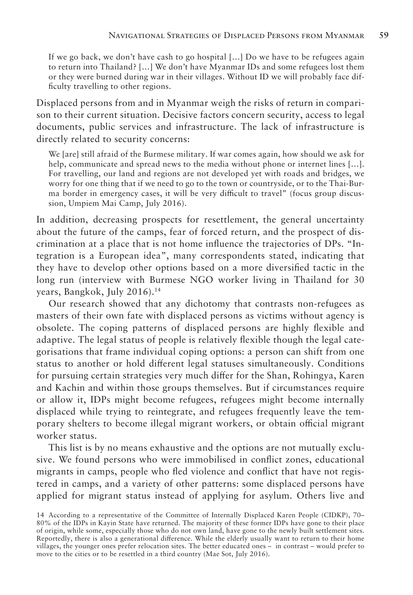If we go back, we don't have cash to go hospital […] Do we have to be refugees again to return into Thailand? […] We don't have Myanmar IDs and some refugees lost them or they were burned during war in their villages. Without ID we will probably face difficulty travelling to other regions.

Displaced persons from and in Myanmar weigh the risks of return in comparison to their current situation. Decisive factors concern security, access to legal documents, public services and infrastructure. The lack of infrastructure is directly related to security concerns:

We [are] still afraid of the Burmese military. If war comes again, how should we ask for help, communicate and spread news to the media without phone or internet lines [...]. For travelling, our land and regions are not developed yet with roads and bridges, we worry for one thing that if we need to go to the town or countryside, or to the Thai-Burma border in emergency cases, it will be very difficult to travel" (focus group discussion, Umpiem Mai Camp, July 2016).

In addition, decreasing prospects for resettlement, the general uncertainty about the future of the camps, fear of forced return, and the prospect of discrimination at a place that is not home influence the trajectories of DPs. "Integration is a European idea", many correspondents stated, indicating that they have to develop other options based on a more diversified tactic in the long run (interview with Burmese NGO worker living in Thailand for 30 years, Bangkok, July 2016).14

Our research showed that any dichotomy that contrasts non-refugees as masters of their own fate with displaced persons as victims without agency is obsolete. The coping patterns of displaced persons are highly flexible and adaptive. The legal status of people is relatively flexible though the legal categorisations that frame individual coping options: a person can shift from one status to another or hold different legal statuses simultaneously. Conditions for pursuing certain strategies very much differ for the Shan, Rohingya, Karen and Kachin and within those groups themselves. But if circumstances require or allow it, IDPs might become refugees, refugees might become internally displaced while trying to reintegrate, and refugees frequently leave the temporary shelters to become illegal migrant workers, or obtain official migrant worker status.

This list is by no means exhaustive and the options are not mutually exclusive. We found persons who were immobilised in conflict zones, educational migrants in camps, people who fled violence and conflict that have not registered in camps, and a variety of other patterns: some displaced persons have applied for migrant status instead of applying for asylum. Others live and

<sup>14</sup> According to a representative of the Committee of Internally Displaced Karen People (CIDKP), 70– 80% of the IDPs in Kayin State have returned. The majority of these former IDPs have gone to their place of origin, while some, especially those who do not own land, have gone to the newly built settlement sites. Reportedly, there is also a generational difference. While the elderly usually want to return to their home villages, the younger ones prefer relocation sites. The better educated ones – in contrast – would prefer to move to the cities or to be resettled in a third country (Mae Sot, July 2016).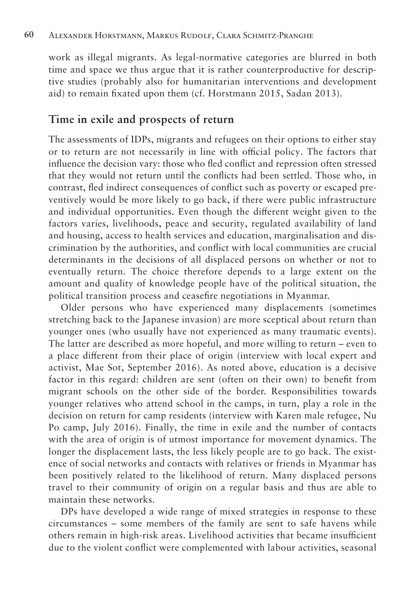work as illegal migrants. As legal-normative categories are blurred in both time and space we thus argue that it is rather counterproductive for descriptive studies (probably also for humanitarian interventions and development aid) to remain fixated upon them (cf. Horstmann 2015, Sadan 2013).

### **Time in exile and prospects of return**

The assessments of IDPs, migrants and refugees on their options to either stay or to return are not necessarily in line with official policy. The factors that influence the decision vary: those who fled conflict and repression often stressed that they would not return until the conflicts had been settled. Those who, in contrast, fled indirect consequences of conflict such as poverty or escaped preventively would be more likely to go back, if there were public infrastructure and individual opportunities. Even though the different weight given to the factors varies, livelihoods, peace and security, regulated availability of land and housing, access to health services and education, marginalisation and discrimination by the authorities, and conflict with local communities are crucial determinants in the decisions of all displaced persons on whether or not to eventually return. The choice therefore depends to a large extent on the amount and quality of knowledge people have of the political situation, the political transition process and ceasefire negotiations in Myanmar.

Older persons who have experienced many displacements (sometimes stretching back to the Japanese invasion) are more sceptical about return than younger ones (who usually have not experienced as many traumatic events). The latter are described as more hopeful, and more willing to return – even to a place different from their place of origin (interview with local expert and activist, Mae Sot, September 2016). As noted above, education is a decisive factor in this regard: children are sent (often on their own) to benefit from migrant schools on the other side of the border. Responsibilities towards younger relatives who attend school in the camps, in turn, play a role in the decision on return for camp residents (interview with Karen male refugee, Nu Po camp, July 2016). Finally, the time in exile and the number of contacts with the area of origin is of utmost importance for movement dynamics. The longer the displacement lasts, the less likely people are to go back. The existence of social networks and contacts with relatives or friends in Myanmar has been positively related to the likelihood of return. Many displaced persons travel to their community of origin on a regular basis and thus are able to maintain these networks.

DPs have developed a wide range of mixed strategies in response to these circumstances – some members of the family are sent to safe havens while others remain in high-risk areas. Livelihood activities that became insufficient due to the violent conflict were complemented with labour activities, seasonal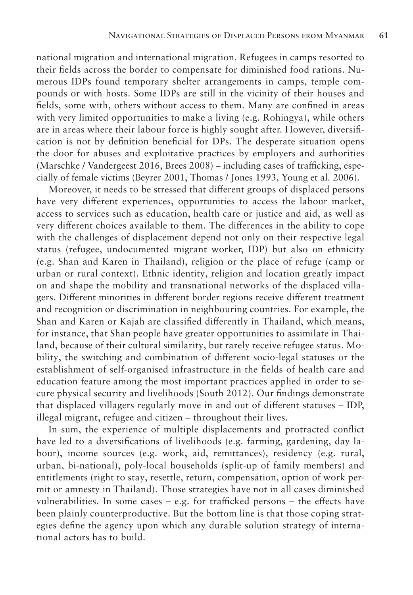national migration and international migration. Refugees in camps resorted to their fields across the border to compensate for diminished food rations. Numerous IDPs found temporary shelter arrangements in camps, temple compounds or with hosts. Some IDPs are still in the vicinity of their houses and fields, some with, others without access to them. Many are confined in areas with very limited opportunities to make a living (e.g. Rohingya), while others are in areas where their labour force is highly sought after. However, diversification is not by definition beneficial for DPs. The desperate situation opens the door for abuses and exploitative practices by employers and authorities (Marschke / Vandergeest 2016, Brees 2008) – including cases of trafficking, especially of female victims (Beyrer 2001, Thomas / Jones 1993, Young et al. 2006).

Moreover, it needs to be stressed that different groups of displaced persons have very different experiences, opportunities to access the labour market, access to services such as education, health care or justice and aid, as well as very different choices available to them. The differences in the ability to cope with the challenges of displacement depend not only on their respective legal status (refugee, undocumented migrant worker, IDP) but also on ethnicity (e.g. Shan and Karen in Thailand), religion or the place of refuge (camp or urban or rural context). Ethnic identity, religion and location greatly impact on and shape the mobility and transnational networks of the displaced villagers. Different minorities in different border regions receive different treatment and recognition or discrimination in neighbouring countries. For example, the Shan and Karen or Kajah are classified differently in Thailand, which means, for instance, that Shan people have greater opportunities to assimilate in Thailand, because of their cultural similarity, but rarely receive refugee status. Mobility, the switching and combination of different socio-legal statuses or the establishment of self-organised infrastructure in the fields of health care and education feature among the most important practices applied in order to secure physical security and livelihoods (South 2012). Our findings demonstrate that displaced villagers regularly move in and out of different statuses – IDP, illegal migrant, refugee and citizen – throughout their lives.

In sum, the experience of multiple displacements and protracted conflict have led to a diversifications of livelihoods (e.g. farming, gardening, day labour), income sources (e.g. work, aid, remittances), residency (e.g. rural, urban, bi-national), poly-local households (split-up of family members) and entitlements (right to stay, resettle, return, compensation, option of work permit or amnesty in Thailand). Those strategies have not in all cases diminished vulnerabilities. In some cases – e.g. for trafficked persons – the effects have been plainly counterproductive. But the bottom line is that those coping strategies define the agency upon which any durable solution strategy of international actors has to build.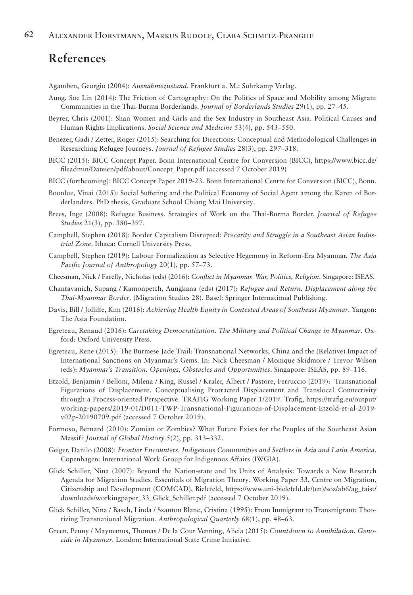# **References**

Agamben, Georgio (2004): *Ausnahmezustand*. Frankfurt a. M.: Suhrkamp Verlag.

- Aung, Soe Lin (2014): The Friction of Cartography: On the Politics of Space and Mobility among Migrant Communities in the Thai-Burma Borderlands. *Journal of Borderlands Studies* 29(1), pp. 27–45.
- Beyrer, Chris (2001): Shan Women and Girls and the Sex Industry in Southeast Asia. Political Causes and Human Rights Implications. *Social Science and Medicine* 53(4), pp. 543–550.
- Benezer, Gadi / Zetter, Roger (2015): Searching for Directions: Conceptual and Methodological Challenges in Researching Refugee Journeys. *Journal of Refugee Studies* 28(3), pp. 297–318.
- BICC (2015): BICC Concept Paper. Bonn International Centre for Conversion (BICC), https://www.bicc.de/ fileadmin/Dateien/pdf/about/Concept\_Paper.pdf (accessed 7 October 2019)
- BICC (forthcoming): BICC Concept Paper 2019-23. Bonn International Centre for Conversion (BICC), Bonn.
- Boonlue, Vinai (2015): Social Suffering and the Political Economy of Social Agent among the Karen of Borderlanders. PhD thesis, Graduate School Chiang Mai University.
- Brees, Inge (2008): Refugee Business. Strategies of Work on the Thai-Burma Border. *Journal of Refugee Studies* 21(3), pp. 380–397.
- Campbell, Stephen (2018): Border Capitalism Disrupted: *Precarity and Struggle in a Southeast Asian Industrial Zone*. Ithaca: Cornell University Press.
- Campbell, Stephen (2019): Labour Formalization as Selective Hegemony in Reform-Era Myanmar. *The Asia Pacific Journal of Anthropology* 20(1), pp. 57–73.
- Cheesman, Nick / Farelly, Nicholas (eds) (2016): *Conflict in Myanmar. War, Politics, Religion*. Singapore: ISEAS.
- Chantavanich, Supang / Kamonpetch, Aungkana (eds) (2017): *Refugee and Return. Displacement along the Thai-Myanmar Border*. (Migration Studies 28). Basel: Springer International Publishing.
- Davis, Bill / Jolliffe, Kim (2016): *Achieving Health Equity in Contested Areas of Southeast Myanmar*. Yangon: The Asia Foundation.
- Egreteau, Renaud (2016): *Caretaking Democratization. The Military and Political Change in Myanmar*. Oxford: Oxford University Press.
- Egreteau, Rene (2015): The Burmese Jade Trail: Transnational Networks, China and the (Relative) Impact of International Sanctions on Myanmar's Gems. In: Nick Cheesman / Monique Skidmore / Trevor Wilson (eds): *Myanmar's Transition. Openings, Obstacles and Opportunities*. Singapore: ISEAS, pp. 89–116.
- Etzold, Benjamin / Belloni, Milena / King, Russel / Kraler, Albert / Pastore, Ferruccio (2019): Transnational Figurations of Displacement. Conceptualising Protracted Displacement and Translocal Connectivity through a Process-oriented Perspective. TRAFIG Working Paper 1/2019. Trafig, https://trafig.eu/output/ working-papers/2019-01/D011-TWP-Transnational-Figurations-of-Displacement-Etzold-et-al-2019 v02p-20190709.pdf (accessed 7 October 2019).
- Formoso, Bernard (2010): Zomian or Zombies? What Future Exists for the Peoples of the Southeast Asian Massif? *Journal of Global History* 5(2), pp. 313–332.
- Geiger, Danilo (2008): *Frontier Encounters. Indigenous Communities and Settlers in Asia and Latin America.*  Copenhagen: International Work Group for Indigenous Affairs (IWGIA).
- Glick Schiller, Nina (2007): Beyond the Nation-state and Its Units of Analysis: Towards a New Research Agenda for Migration Studies. Essentials of Migration Theory. Working Paper 33, Centre on Migration, Citizenship and Development (COMCAD), Bielefeld, https://www.uni-bielefeld.de/(en)/soz/ab6/ag\_faist/ downloads/workingpaper\_33\_Glick\_Schiller.pdf (accessed 7 October 2019).
- Glick Schiller, Nina / Basch, Linda / Szanton Blanc, Cristina (1995): From Immigrant to Transmigrant: Theorizing Transnational Migration. *Anthropological Quarterly* 68(1), pp. 48–63.
- Green, Penny / Maymanus, Thomas / De la Cour Venning, Alicia (2015): *Countdown to Annihilation*. *Genocide in Myanmar*. London: International State Crime Initiative.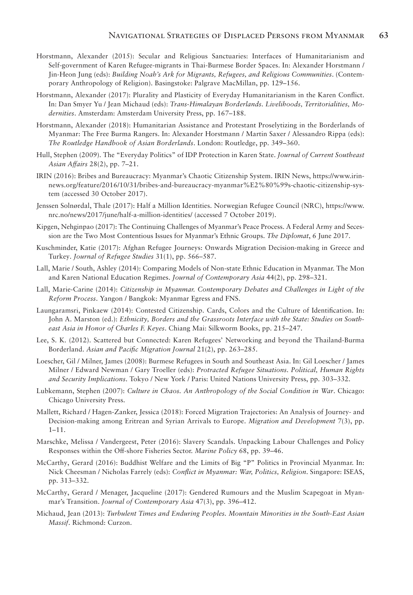- Horstmann, Alexander (2015): Secular and Religious Sanctuaries: Interfaces of Humanitarianism and Self-government of Karen Refugee-migrants in Thai-Burmese Border Spaces. In: Alexander Horstmann / Jin-Heon Jung (eds): *Building Noah's Ark for Migrants, Refugees, and Religious Communities*. (Contemporary Anthropology of Religion). Basingstoke: Palgrave MacMillan, pp. 129–156.
- Horstmann, Alexander (2017): Plurality and Plasticity of Everyday Humanitarianism in the Karen Conflict. In: Dan Smyer Yu / Jean Michaud (eds): *Trans-Himalayan Borderlands. Livelihoods, Territorialities, Modernities*. Amsterdam: Amsterdam University Press, pp. 167–188.
- Horstmann, Alexander (2018): Humanitarian Assistance and Protestant Proselytizing in the Borderlands of Myanmar: The Free Burma Rangers. In: Alexander Horstmann / Martin Saxer / Alessandro Rippa (eds): *The Routledge Handbook of Asian Borderlands*. London: Routledge, pp. 349–360.
- Hull, Stephen (2009). The "Everyday Politics" of IDP Protection in Karen State. *Journal of Current Southeast Asian Affairs* 28(2), pp. 7–21.
- IRIN (2016): Bribes and Bureaucracy: Myanmar's Chaotic Citizenship System. IRIN News, https://www.irinnews.org/feature/2016/10/31/bribes-and-bureaucracy-myanmar%E2%80%99s-chaotic-citizenship-system (accessed 30 October 2017).
- Jenssen Solnørdal, Thale (2017): Half a Million Identities. Norwegian Refugee Council (NRC), https://www. nrc.no/news/2017/june/half-a-million-identities/ (accessed 7 October 2019).
- Kipgen, Nehginpao (2017): The Continuing Challenges of Myanmar's Peace Process. A Federal Army and Secession are the Two Most Contentious Issues for Myanmar's Ethnic Groups. *The Diplomat*, 6 June 2017.
- Kuschminder, Katie (2017): Afghan Refugee Journeys: Onwards Migration Decision-making in Greece and Turkey. *Journal of Refugee Studies* 31(1), pp. 566–587.
- Lall, Marie / South, Ashley (2014): Comparing Models of Non-state Ethnic Education in Myanmar. The Mon and Karen National Education Regimes. *Journal of Contemporary Asia* 44(2), pp. 298–321.
- Lall, Marie-Carine (2014): *Citizenship in Myanmar. Contemporary Debates and Challenges in Light of the Reform Process*. Yangon / Bangkok: Myanmar Egress and FNS.
- Laungaramsri, Pinkaew (2014): Contested Citizenship. Cards, Colors and the Culture of Identification. In: John A. Marston (ed.): *Ethnicity, Borders and the Grassroots Interface with the State: Studies on Southeast Asia in Honor of Charles F. Keyes*. Chiang Mai: Silkworm Books, pp. 215–247.
- Lee, S. K. (2012). Scattered but Connected: Karen Refugees' Networking and beyond the Thailand-Burma Borderland. *Asian and Pacific Migration Journal* 21(2), pp. 263–285.
- Loescher, Gil / Milner, James (2008): Burmese Refugees in South and Southeast Asia. In: Gil Loescher / James Milner / Edward Newman / Gary Troeller (eds): *Protracted Refugee Situations. Political, Human Rights and Security Implications*. Tokyo / New York / Paris: United Nations University Press, pp. 303–332.
- Lubkemann, Stephen (2007): *Culture in Chaos. An Anthropology of the Social Condition in War*. Chicago: Chicago University Press.
- Mallett, Richard / Hagen-Zanker, Jessica (2018): Forced Migration Trajectories: An Analysis of Journey- and Decision-making among Eritrean and Syrian Arrivals to Europe. *Migration and Development* 7(3), pp. 1–11.
- Marschke, Melissa / Vandergeest, Peter (2016): Slavery Scandals. Unpacking Labour Challenges and Policy Responses within the Off-shore Fisheries Sector. *Marine Policy* 68, pp. 39–46.
- McCarthy, Gerard (2016): Buddhist Welfare and the Limits of Big "P" Politics in Provincial Myanmar. In: Nick Cheesman / Nicholas Farrely (eds): *Conflict in Myanmar: War, Politics, Religion*. Singapore: ISEAS, pp. 313–332.
- McCarthy, Gerard / Menager, Jacqueline (2017): Gendered Rumours and the Muslim Scapegoat in Myanmar's Transition. *Journal of Contemporary Asia* 47(3), pp. 396–412.
- Michaud, Jean (2013): *Turbulent Times and Enduring Peoples. Mountain Minorities in the South-East Asian Massif*. Richmond: Curzon.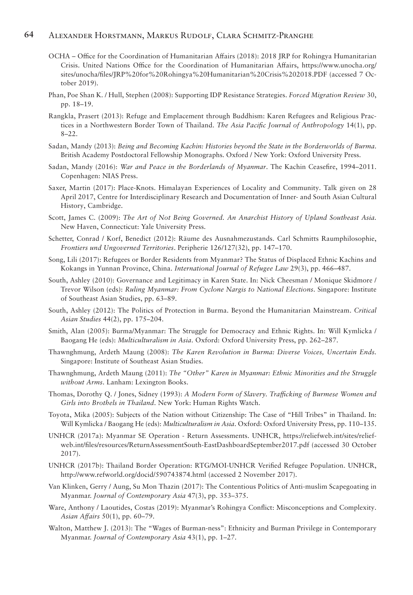#### **64** Alexander Horstmann, Markus Rudolf, Clara Schmitz-Pranghe

- OCHA Office for the Coordination of Humanitarian Affairs (2018): 2018 JRP for Rohingya Humanitarian Crisis. United Nations Office for the Coordination of Humanitarian Affairs, https://www.unocha.org/ sites/unocha/files/JRP%20for%20Rohingya%20Humanitarian%20Crisis%202018.PDF (accessed 7 October 2019).
- Phan, Poe Shan K. / Hull, Stephen (2008): Supporting IDP Resistance Strategies. *Forced Migration Review* 30, pp. 18–19.
- Rangkla, Prasert (2013): Refuge and Emplacement through Buddhism: Karen Refugees and Religious Practices in a Northwestern Border Town of Thailand. *The Asia Pacific Journal of Anthropology* 14(1), pp. 8–22.
- Sadan, Mandy (2013): *Being and Becoming Kachin: Histories beyond the State in the Borderworlds of Burma*. British Academy Postdoctoral Fellowship Monographs. Oxford / New York: Oxford University Press.
- Sadan, Mandy (2016): *War and Peace in the Borderlands of Myanmar*. The Kachin Ceasefire, 1994–2011. Copenhagen: NIAS Press.
- Saxer, Martin (2017): Place-Knots. Himalayan Experiences of Locality and Community. Talk given on 28 April 2017, Centre for Interdisciplinary Research and Documentation of Inner- and South Asian Cultural History, Cambridge.
- Scott, James C. (2009): *The Art of Not Being Governed. An Anarchist History of Upland Southeast Asia.*  New Haven, Connecticut: Yale University Press.
- Schetter, Conrad / Korf, Benedict (2012): Räume des Ausnahmezustands. Carl Schmitts Raumphilosophie, *Frontiers und Ungoverned Territories*. Peripherie 126/127(32), pp. 147–170.
- Song, Lili (2017): Refugees or Border Residents from Myanmar? The Status of Displaced Ethnic Kachins and Kokangs in Yunnan Province, China. *International Journal of Refugee Law* 29(3), pp. 466–487.
- South, Ashley (2010): Governance and Legitimacy in Karen State. In: Nick Cheesman / Monique Skidmore / Trevor Wilson (eds): *Ruling Myanmar: From Cyclone Nargis to National Elections*. Singapore: Institute of Southeast Asian Studies, pp. 63–89.
- South, Ashley (2012): The Politics of Protection in Burma. Beyond the Humanitarian Mainstream. *Critical Asian Studies* 44(2), pp. 175–204.
- Smith, Alan (2005): Burma/Myanmar: The Struggle for Democracy and Ethnic Rights. In: Will Kymlicka / Baogang He (eds): *Multiculturalism in Asia*. Oxford: Oxford University Press, pp. 262–287.
- Thawnghmung, Ardeth Maung (2008): *The Karen Revolution in Burma: Diverse Voices, Uncertain Ends.*  Singapore: Institute of Southeast Asian Studies.
- Thawnghmung, Ardeth Maung (2011): *The "Other" Karen in Myanmar: Ethnic Minorities and the Struggle without Arms*. Lanham: Lexington Books.
- Thomas, Dorothy Q. / Jones, Sidney (1993): *A Modern Form of Slavery. Trafficking of Burmese Women and Girls into Brothels in Thailand*. New York: Human Rights Watch.
- Toyota, Mika (2005): Subjects of the Nation without Citizenship: The Case of "Hill Tribes" in Thailand. In: Will Kymlicka / Baogang He (eds): *Multiculturalism in Asia*. Oxford: Oxford University Press, pp. 110–135.
- UNHCR (2017a): Myanmar SE Operation Return Assessments. UNHCR, https://reliefweb.int/sites/reliefweb.int/files/resources/ReturnAssessmentSouth-EastDashboardSeptember2017.pdf (accessed 30 October 2017).
- UNHCR (2017b): Thailand Border Operation: RTG/MOI-UNHCR Verified Refugee Population. UNHCR, http://www.refworld.org/docid/590743874.html (accessed 2 November 2017).
- Van Klinken, Gerry / Aung, Su Mon Thazin (2017): The Contentious Politics of Anti-muslim Scapegoating in Myanmar. *Journal of Contemporary Asia* 47(3), pp. 353–375.
- Ware, Anthony / Laoutides, Costas (2019): Myanmar's Rohingya Conflict: Misconceptions and Complexity. *Asian Affairs* 50(1), pp. 60–79.
- Walton, Matthew J. (2013): The "Wages of Burman-ness": Ethnicity and Burman Privilege in Contemporary Myanmar. *Journal of Contemporary Asia* 43(1), pp. 1–27.